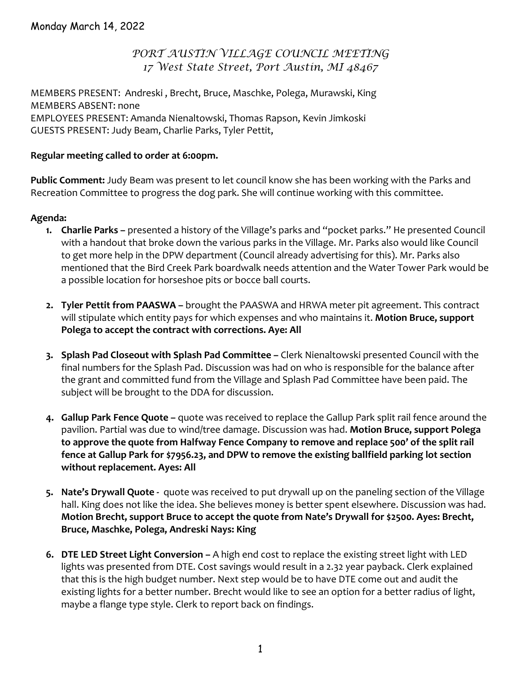# *PORT AUSTIN VILLAGE COUNCIL MEETING 17 West State Street, Port Austin, MI 48467*

MEMBERS PRESENT: Andreski , Brecht, Bruce, Maschke, Polega, Murawski, King MEMBERS ABSENT: none EMPLOYEES PRESENT: Amanda Nienaltowski, Thomas Rapson, Kevin Jimkoski GUESTS PRESENT: Judy Beam, Charlie Parks, Tyler Pettit,

#### **Regular meeting called to order at 6:00pm.**

**Public Comment:** Judy Beam was present to let council know she has been working with the Parks and Recreation Committee to progress the dog park. She will continue working with this committee.

# **Agenda:**

- **1. Charlie Parks –** presented a history of the Village's parks and "pocket parks." He presented Council with a handout that broke down the various parks in the Village. Mr. Parks also would like Council to get more help in the DPW department (Council already advertising for this). Mr. Parks also mentioned that the Bird Creek Park boardwalk needs attention and the Water Tower Park would be a possible location for horseshoe pits or bocce ball courts.
- **2. Tyler Pettit from PAASWA –** brought the PAASWA and HRWA meter pit agreement. This contract will stipulate which entity pays for which expenses and who maintains it. **Motion Bruce, support Polega to accept the contract with corrections. Aye: All**
- **3. Splash Pad Closeout with Splash Pad Committee –** Clerk Nienaltowski presented Council with the final numbers for the Splash Pad. Discussion was had on who is responsible for the balance after the grant and committed fund from the Village and Splash Pad Committee have been paid. The subject will be brought to the DDA for discussion.
- **4. Gallup Park Fence Quote –** quote was received to replace the Gallup Park split rail fence around the pavilion. Partial was due to wind/tree damage. Discussion was had. **Motion Bruce, support Polega to approve the quote from Halfway Fence Company to remove and replace 500' of the split rail fence at Gallup Park for \$7956.23, and DPW to remove the existing ballfield parking lot section without replacement. Ayes: All**
- **5. Nate's Drywall Quote ‐**  quote was received to put drywall up on the paneling section of the Village hall. King does not like the idea. She believes money is better spent elsewhere. Discussion was had. **Motion Brecht, support Bruce to accept the quote from Nate's Drywall for \$2500. Ayes: Brecht, Bruce, Maschke, Polega, Andreski Nays: King**
- **6. DTE LED Street Light Conversion –** A high end cost to replace the existing street light with LED lights was presented from DTE. Cost savings would result in a 2.32 year payback. Clerk explained that this is the high budget number. Next step would be to have DTE come out and audit the existing lights for a better number. Brecht would like to see an option for a better radius of light, maybe a flange type style. Clerk to report back on findings.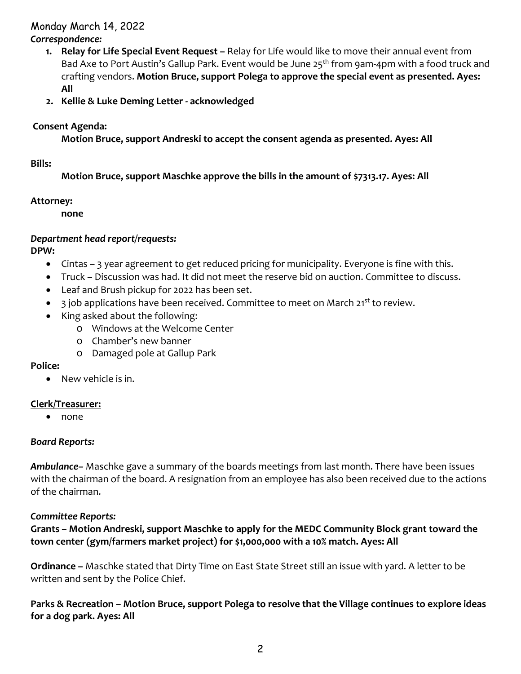#### Monday March 14, 2022 *Correspondence:*

- **1. Relay for Life Special Event Request –** Relay for Life would like to move their annual event from Bad Axe to Port Austin's Gallup Park. Event would be June  $25<sup>th</sup>$  from 9am-4pm with a food truck and crafting vendors. **Motion Bruce, support Polega to approve the special event as presented. Ayes: All**
- **2. Kellie & Luke Deming Letter ‐ acknowledged**

## **Consent Agenda:**

**Motion Bruce, support Andreski to accept the consent agenda as presented. Ayes: All**

#### **Bills:**

**Motion Bruce, support Maschke approve the bills in the amount of \$7313.17. Ayes: All** 

#### **Attorney:**

**none**

# *Department head report/requests:*

**DPW:**

- Cintas 3 year agreement to get reduced pricing for municipality. Everyone is fine with this.
- Truck Discussion was had. It did not meet the reserve bid on auction. Committee to discuss.
- Leaf and Brush pickup for 2022 has been set.
- $\bullet$  3 job applications have been received. Committee to meet on March 21<sup>st</sup> to review.
- King asked about the following:
	- o Windows at the Welcome Center
	- o Chamber's new banner
	- o Damaged pole at Gallup Park

#### **Police:**

• New vehicle is in.

#### **Clerk/Treasurer:**

• none

#### *Board Reports:*

*Ambulance–* Maschke gave a summary of the boards meetings from last month. There have been issues with the chairman of the board. A resignation from an employee has also been received due to the actions of the chairman.

#### *Committee Reports:*

**Grants – Motion Andreski, support Maschke to apply for the MEDC Community Block grant toward the town center (gym/farmers market project) for \$1,000,000 with a 10% match. Ayes: All**

**Ordinance –** Maschke stated that Dirty Time on East State Street still an issue with yard. A letter to be written and sent by the Police Chief.

**Parks & Recreation – Motion Bruce, support Polega to resolve that the Village continues to explore ideas for a dog park. Ayes: All**